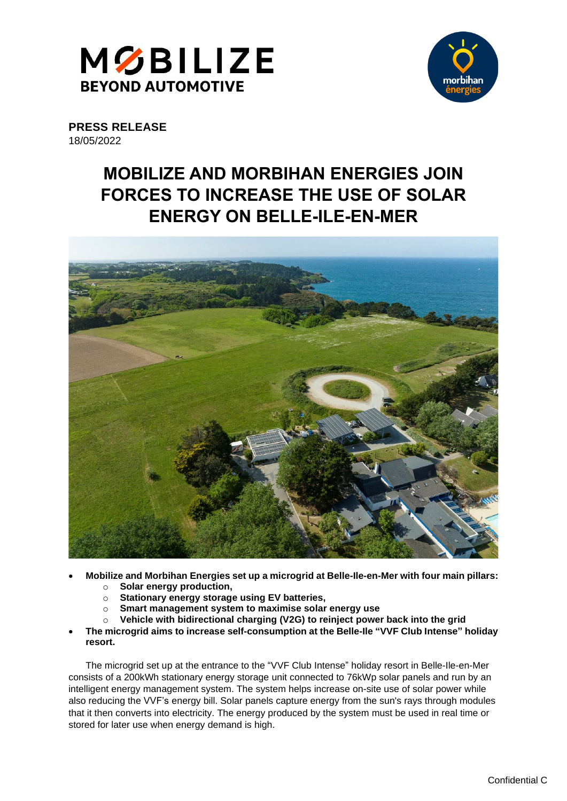



**PRESS RELEASE** 18/05/2022

# **MOBILIZE AND MORBIHAN ENERGIES JOIN FORCES TO INCREASE THE USE OF SOLAR ENERGY ON BELLE-ILE-EN-MER**



- **Mobilize and Morbihan Energies set up a microgrid at Belle-Ile-en-Mer with four main pillars:**  o **Solar energy production,**
	-
	- o **Stationary energy storage using EV batteries, Smart management system to maximise solar energy use**
	-
	- o **Vehicle with bidirectional charging (V2G) to reinject power back into the grid**
- **The microgrid aims to increase self-consumption at the Belle-Ile "VVF Club Intense" holiday resort.**

The microgrid set up at the entrance to the "VVF Club Intense" holiday resort in Belle-Ile-en-Mer consists of a 200kWh stationary energy storage unit connected to 76kWp solar panels and run by an intelligent energy management system. The system helps increase on-site use of solar power while also reducing the VVF's energy bill. Solar panels capture energy from the sun's rays through modules that it then converts into electricity. The energy produced by the system must be used in real time or stored for later use when energy demand is high.